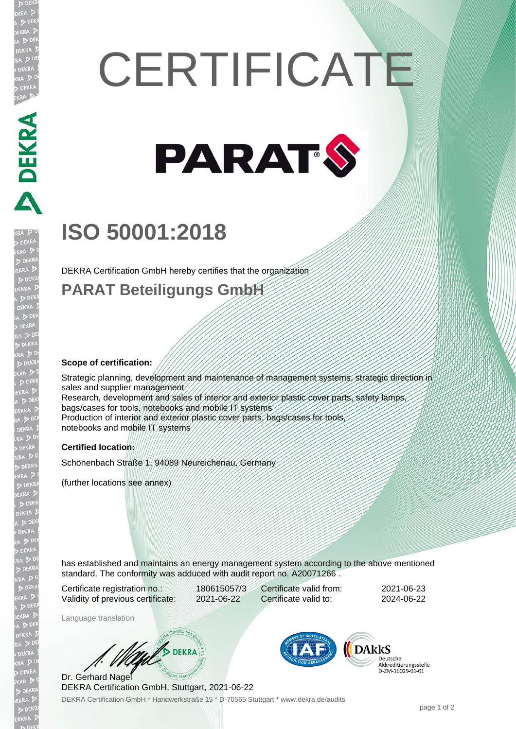# **CERTIFICATE**



## **ISO 50001:2018**

DEKRA Certification GmbH hereby certifies that the organization

### **PARAT Beteiligungs GmbH**

#### **Scope of certification:**

**DEKRA** 

EKR

Strategic planning, development and maintenance of management systems, strategic direction in sales and supplier management Research, development and sales of interior and exterior plastic cover parts, safety lamps, bags/cases for tools, notebooks and mobile IT systems Production of interior and exterior plastic cover parts, bags/cases for tools notebooks and mobile IT systems

#### **Certified location:**

Schönenbach Straße 1, 94089 Neureichenau, Germany

(further locations see annex)

has established and maintains an energy management system according to the above mentioned standard. The conformity was adduced with audit report no. A20071266 .

Certificate registration no.: 180615057/3 Validity of previous certificate: 2021-06-22

Certificate valid from: 2021-06-23 Certificate valid to: 2024-06-22

Language translation

WA DEKRA

DEKRA Certification GmbH \* Handwerkstraße 15 \* D-70565 Stuttgart \* www.dekra.de/audits Dr. Gerhard Nagel DEKRA Certification GmbH, Stuttgart, 2021-06-22



Deutsche Akkreditierungsstelle<br>D-ZM-16029-01-01